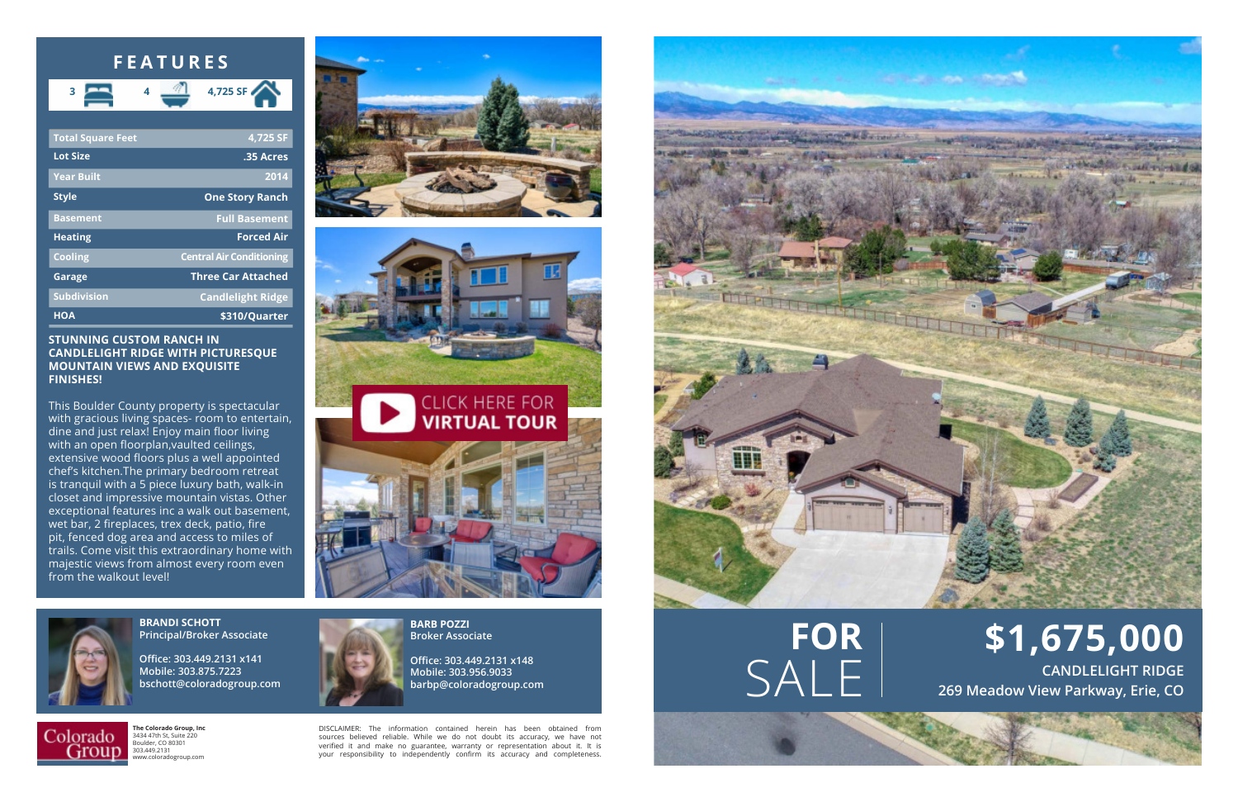

**Office: 303.449.2131 x148 Mobile: 303.956.9033 barbp@coloradogroup.com**

| <b>Total Square Feet</b> | 4,725 SF                        |
|--------------------------|---------------------------------|
| <b>Lot Size</b>          | .35 Acres                       |
| <b>Year Built</b>        | 2014                            |
| <b>Style</b>             | <b>One Story Ranch</b>          |
| <b>Basement</b>          | <b>Full Basement</b>            |
| <b>Heating</b>           | <b>Forced Air</b>               |
| <b>Cooling</b>           | <b>Central Air Conditioning</b> |
| Garage                   | <b>Three Car Attached</b>       |
| <b>Subdivision</b>       | <b>Candlelight Ridge</b>        |
| <b>HOA</b>               | \$310/Quarter                   |



**The Colorado Group, Inc** 3434 47th St, Suite 220 Boulder, CO 80301 303.449.2131 www.coloradogroup.com

## **STUNNING CUSTOM RANCH IN CANDLELIGHT RIDGE WITH PICTURESQUE MOUNTAIN VIEWS AND EXQUISITE FINISHES!**

**CANDLELIGHT RIDGE**<br>269 Meadow View Parkway, Erie, CO **269 Meadow View Parkway, Erie, CO**

This Boulder County property is spectacular with gracious living spaces- room to entertain, dine and just relax! Enjoy main floor living with an open floorplan,vaulted ceilings, extensive wood floors plus a well appointed chef's kitchen.The primary bedroom retreat is tranquil with a 5 piece luxury bath, walk-in closet and impressive mountain vistas. Other exceptional features inc a walk out basement, wet bar, 2 fireplaces, trex deck, patio, fire pit, fenced dog area and access to miles of trails. Come visit this extraordinary home with majestic views from almost every room even from the walkout level!







DISCLAIMER: The information contained herein has been obtained from sources believed reliable. While we do not doubt its accuracy, we have not verified it and make no guarantee, warranty or representation about it. It is your responsibility to independently confirm its accuracy and completeness.



## **FEATURES**



**\$1,675,000**

## **FOR**

**BRANDI SCHOTT Principal/Broker Associate**

**Office: 303.449.2131 x141 Mobile: 303.875.7223 bschott@coloradogroup.com**